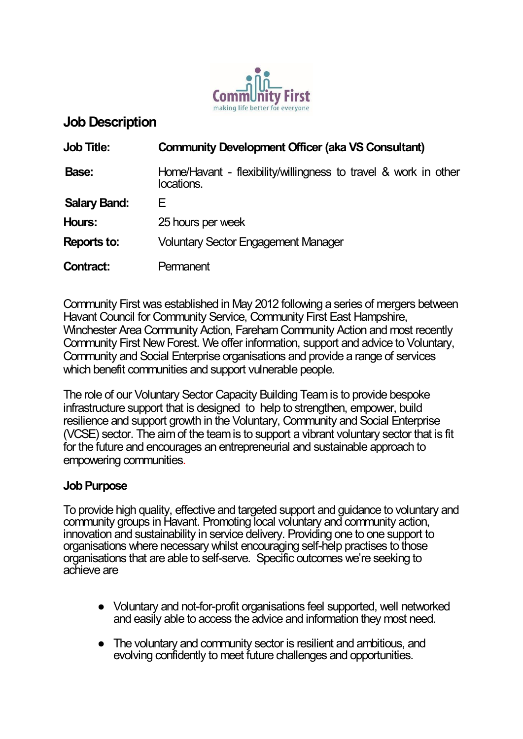

# **Job Description**

| <b>Job Title:</b>   | <b>Community Development Officer (aka VS Consultant)</b>                      |
|---------------------|-------------------------------------------------------------------------------|
| Base:               | Home/Havant - flexibility/willingness to travel & work in other<br>locations. |
| <b>Salary Band:</b> | Е                                                                             |
| Hours:              | 25 hours per week                                                             |
| <b>Reports to:</b>  | <b>Voluntary Sector Engagement Manager</b>                                    |
| Contract:           | Permanent                                                                     |

[Community First](https://www.cfirst.org.uk/) was established in May 2012 following a series of mergers between Havant Council for Community Service, Community First East Hampshire, Winchester Area Community Action, Fareham Community Action and most recently Community First New Forest. We offer information, support and advice to Voluntary, Community and Social Enterprise organisations and provide a range of services which benefit communities and support vulnerable people.

The role of our Voluntary Sector Capacity Building Team is to provide bespoke infrastructure support that is designed to help to strengthen, empower, build resilience and support growth in the Voluntary, Community and Social Enterprise (VCSE) sector. The aim of the team is to support a vibrant voluntary sector that is fit for the future and encourages an entrepreneurial and sustainable approach to empowering communities.

## **Job Purpose**

To provide high quality, effective and targeted support and guidance to voluntary and community groups in Havant. Promoting local voluntary and community action, innovation and sustainability in service delivery. Providing one to one support to organisations where necessary whilst encouraging self-help practises to those organisations that are able to self-serve. Specific outcomes we're seeking to achieve are

- Voluntary and not-for-profit organisations feel supported, well networked and easily able to access the advice and information they most need.
- The voluntary and community sector is resilient and ambitious, and evolving confidently to meet future challenges and opportunities.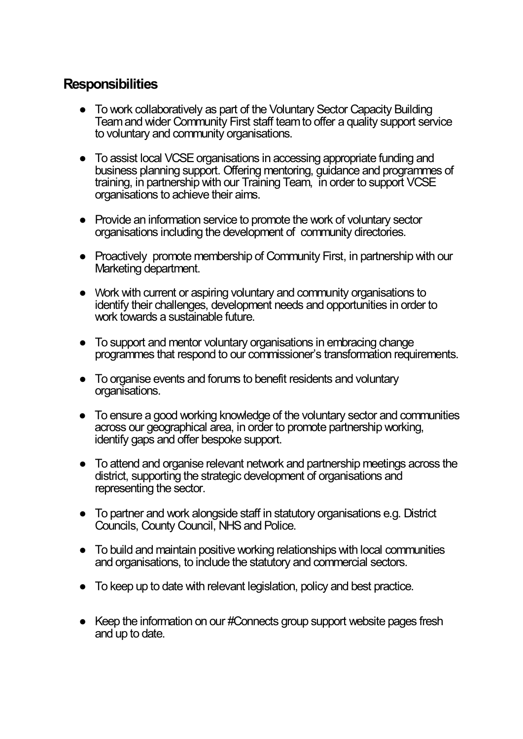# **Responsibilities**

- To work collaboratively as part of the Voluntary Sector Capacity Building Team and wider Community First staff team to offer a quality support service to voluntary and community organisations.
- To assist local VCSE organisations in accessing appropriate funding and business planning support. Offering mentoring, guidance and programmes of training, in partnership with our Training Team, in order to support VCSE organisations to achieve their aims.
- Provide an information service to promote the work of voluntary sector organisations including the development of community directories.
- Proactively promote membership of Community First, in partnership with our Marketing department.
- Work with current or aspiring voluntary and community organisations to identify their challenges, development needs and opportunities in order to work towards a sustainable future.
- To support and mentor voluntary organisations in embracing change programmes that respond to our commissioner's transformation requirements.
- To organise events and forums to benefit residents and voluntary organisations.
- To ensure a good working knowledge of the voluntary sector and communities across our geographical area, in order to promote partnership working, identify gaps and offer bespoke support.
- To attend and organise relevant network and partnership meetings across the district, supporting the strategic development of organisations and representing the sector.
- To partner and work alongside staff in statutory organisations e.g. District Councils, County Council, NHS and Police.
- To build and maintain positive working relationships with local communities and organisations, to include the statutory and commercial sectors.
- To keep up to date with relevant legislation, policy and best practice.
- Keep the information on our #Connects group support website pages fresh and up to date.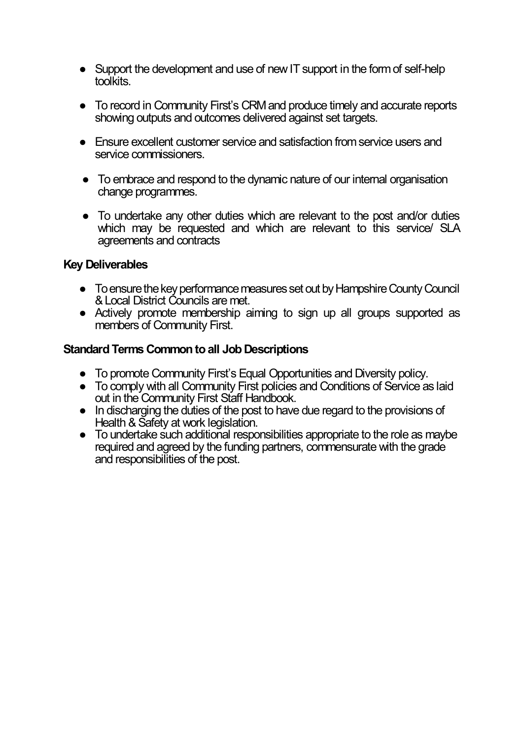- Support the development and use of new IT support in the form of self-help toolkits.
- To record in Community First's CRM and produce timely and accurate reports showing outputs and outcomes delivered against set targets.
- Ensure excellent customer service and satisfaction from service users and service commissioners.
- To embrace and respond to the dynamic nature of our internal organisation change programmes.
- To undertake any other duties which are relevant to the post and/or duties which may be requested and which are relevant to this service/ SLA agreements and contracts

## **Key Deliverables**

- To ensure the key performance measures set out by Hampshire County Council & Local District Councils are met.
- Actively promote membership aiming to sign up all groups supported as members of Community First.

## **Standard Terms Common to all Job Descriptions**

- To promote Community First's Equal Opportunities and Diversity policy.
- To comply with all Community First policies and Conditions of Service as laid out in the Community First Staff Handbook.
- In discharging the duties of the post to have due regard to the provisions of Health & Safety at work legislation.
- To undertake such additional responsibilities appropriate to the role as maybe required and agreed by the funding partners, commensurate with the grade and responsibilities of the post.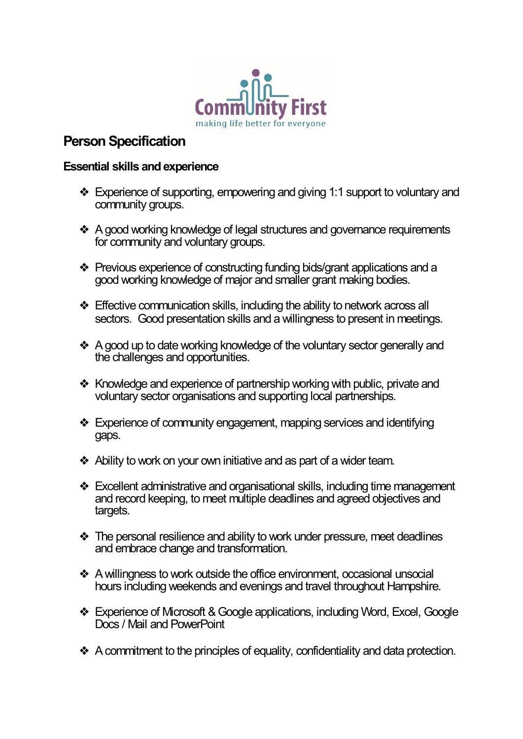

# **Person Specification**

### **Essential skills and experience**

- ❖ Experience of supporting, empowering and giving 1:1 support to voluntary and community groups.
- ❖ A good working knowledge of legal structures and governance requirements for community and voluntary groups.
- ❖ Previous experience of constructing funding bids/grant applications and a good working knowledge of major and smaller grant making bodies.
- ❖ Effective communication skills, including the ability to network across all sectors. Good presentation skills and a willingness to present in meetings.
- ❖ A good up to date working knowledge of the voluntary sector generally and the challenges and opportunities.
- ❖ Knowledge and experience of partnership working with public, private and voluntary sector organisations and supporting local partnerships.
- ❖ Experience of community engagement, mapping services and identifying gaps.
- ❖ Ability to work on your own initiative and as part of a wider team.
- ❖ Excellent administrative and organisational skills, including time management and record keeping, to meet multiple deadlines and agreed objectives and targets.
- ❖ The personal resilience and ability to work under pressure, meet deadlines and embrace change and transformation.
- ❖ A willingness to work outside the office environment, occasional unsocial hours including weekends and evenings and travel throughout Hampshire.
- ❖ Experience of Microsoft & Google applications, including Word, Excel, Google Docs / Mail and PowerPoint
- ❖ A commitment to the principles of equality, confidentiality and data protection.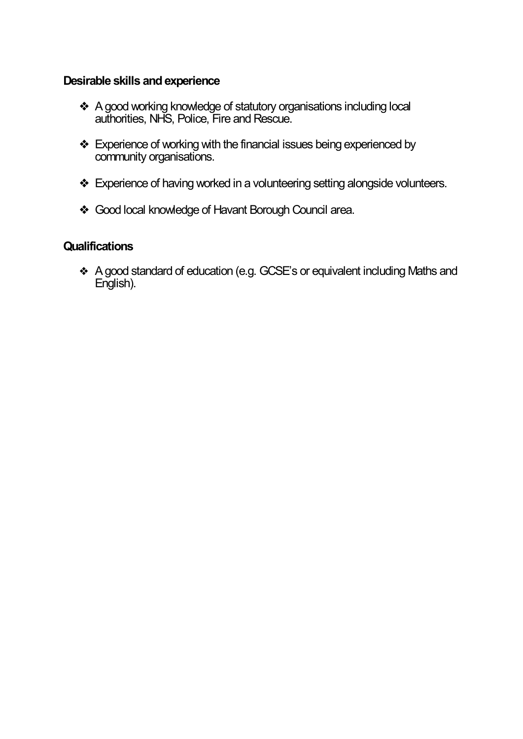### **Desirable skills and experience**

- ❖ A good working knowledge of statutory organisations including local authorities, NHS, Police, Fire and Rescue.
- ❖ Experience of working with the financial issues being experienced by community organisations.
- ❖ Experience of having worked in a volunteering setting alongside volunteers.
- ❖ Good local knowledge of Havant Borough Council area.

### **Qualifications**

❖ A good standard of education (e.g. GCSE's or equivalent including Maths and English).